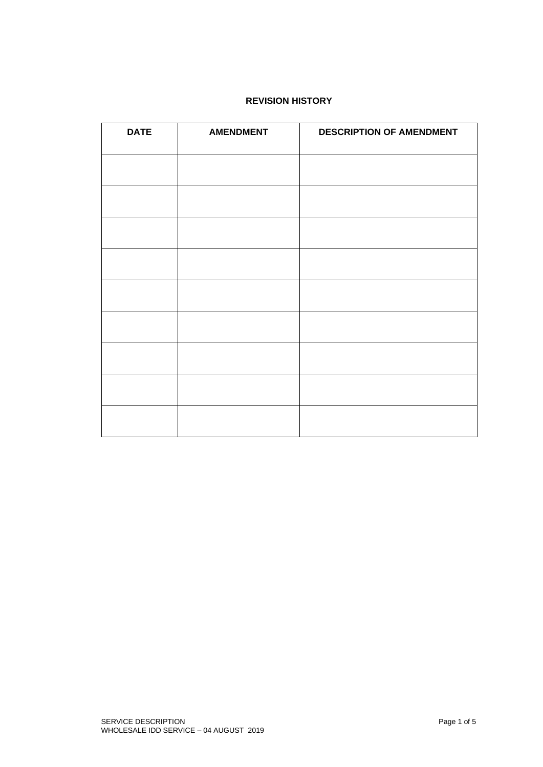# **REVISION HISTORY**

| <b>DATE</b> | <b>AMENDMENT</b> | DESCRIPTION OF AMENDMENT |
|-------------|------------------|--------------------------|
|             |                  |                          |
|             |                  |                          |
|             |                  |                          |
|             |                  |                          |
|             |                  |                          |
|             |                  |                          |
|             |                  |                          |
|             |                  |                          |
|             |                  |                          |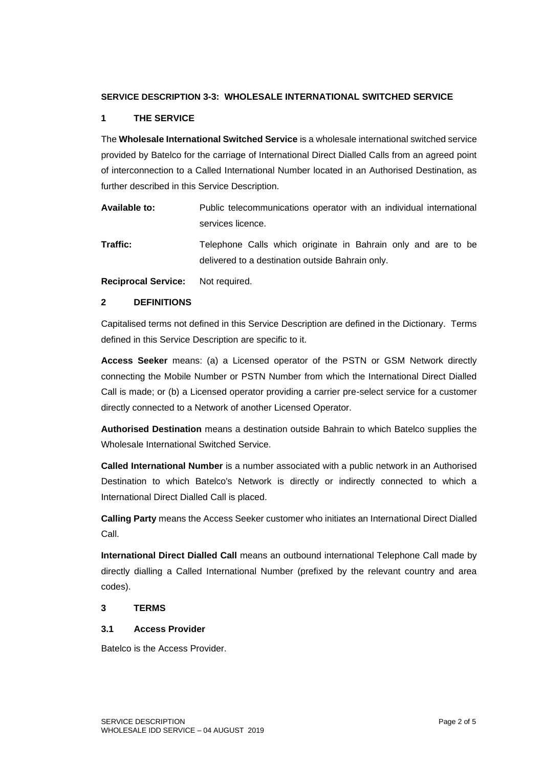#### **SERVICE DESCRIPTION 3-3: WHOLESALE INTERNATIONAL SWITCHED SERVICE**

# **1 THE SERVICE**

The **Wholesale International Switched Service** is a wholesale international switched service provided by Batelco for the carriage of International Direct Dialled Calls from an agreed point of interconnection to a Called International Number located in an Authorised Destination, as further described in this Service Description.

| Available to: | Public telecommunications operator with an individual international |
|---------------|---------------------------------------------------------------------|
|               | services licence.                                                   |

**Traffic:** Telephone Calls which originate in Bahrain only and are to be delivered to a destination outside Bahrain only.

**Reciprocal Service:** Not required.

#### **2 DEFINITIONS**

Capitalised terms not defined in this Service Description are defined in the Dictionary. Terms defined in this Service Description are specific to it.

**Access Seeker** means: (a) a Licensed operator of the PSTN or GSM Network directly connecting the Mobile Number or PSTN Number from which the International Direct Dialled Call is made; or (b) a Licensed operator providing a carrier pre-select service for a customer directly connected to a Network of another Licensed Operator.

**Authorised Destination** means a destination outside Bahrain to which Batelco supplies the Wholesale International Switched Service.

**Called International Number** is a number associated with a public network in an Authorised Destination to which Batelco's Network is directly or indirectly connected to which a International Direct Dialled Call is placed.

**Calling Party** means the Access Seeker customer who initiates an International Direct Dialled Call.

**International Direct Dialled Call** means an outbound international Telephone Call made by directly dialling a Called International Number (prefixed by the relevant country and area codes).

## **3 TERMS**

#### **3.1 Access Provider**

Batelco is the Access Provider.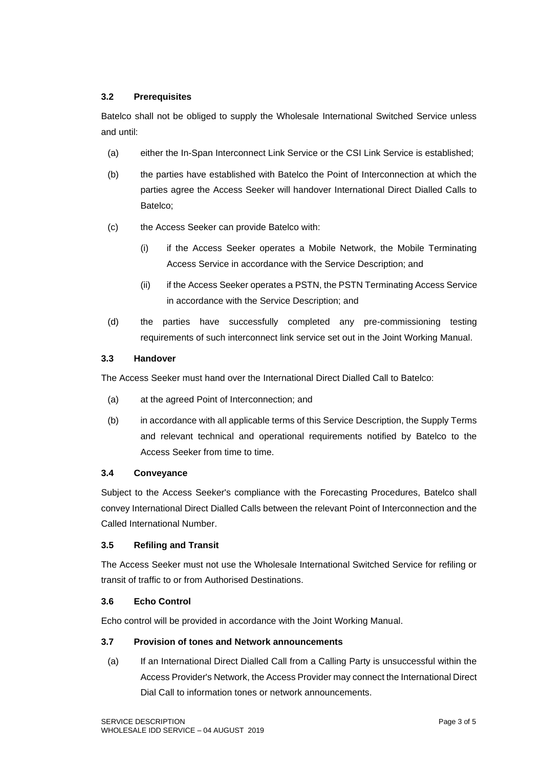## **3.2 Prerequisites**

Batelco shall not be obliged to supply the Wholesale International Switched Service unless and until:

- (a) either the In-Span Interconnect Link Service or the CSI Link Service is established;
- (b) the parties have established with Batelco the Point of Interconnection at which the parties agree the Access Seeker will handover International Direct Dialled Calls to Batelco;
- (c) the Access Seeker can provide Batelco with:
	- (i) if the Access Seeker operates a Mobile Network, the Mobile Terminating Access Service in accordance with the Service Description; and
	- (ii) if the Access Seeker operates a PSTN, the PSTN Terminating Access Service in accordance with the Service Description; and
- (d) the parties have successfully completed any pre-commissioning testing requirements of such interconnect link service set out in the Joint Working Manual.

# **3.3 Handover**

The Access Seeker must hand over the International Direct Dialled Call to Batelco:

- (a) at the agreed Point of Interconnection; and
- (b) in accordance with all applicable terms of this Service Description, the Supply Terms and relevant technical and operational requirements notified by Batelco to the Access Seeker from time to time.

# **3.4 Conveyance**

Subject to the Access Seeker's compliance with the Forecasting Procedures, Batelco shall convey International Direct Dialled Calls between the relevant Point of Interconnection and the Called International Number.

#### **3.5 Refiling and Transit**

The Access Seeker must not use the Wholesale International Switched Service for refiling or transit of traffic to or from Authorised Destinations.

#### **3.6 Echo Control**

Echo control will be provided in accordance with the Joint Working Manual.

## **3.7 Provision of tones and Network announcements**

(a) If an International Direct Dialled Call from a Calling Party is unsuccessful within the Access Provider's Network, the Access Provider may connect the International Direct Dial Call to information tones or network announcements.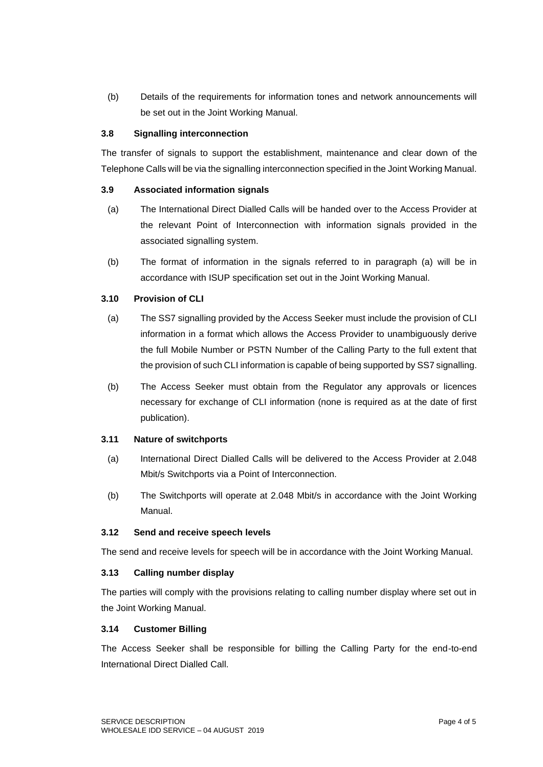(b) Details of the requirements for information tones and network announcements will be set out in the Joint Working Manual.

## **3.8 Signalling interconnection**

The transfer of signals to support the establishment, maintenance and clear down of the Telephone Calls will be via the signalling interconnection specified in the Joint Working Manual.

## **3.9 Associated information signals**

- (a) The International Direct Dialled Calls will be handed over to the Access Provider at the relevant Point of Interconnection with information signals provided in the associated signalling system.
- (b) The format of information in the signals referred to in paragraph (a) will be in accordance with ISUP specification set out in the Joint Working Manual.

# **3.10 Provision of CLI**

- (a) The SS7 signalling provided by the Access Seeker must include the provision of CLI information in a format which allows the Access Provider to unambiguously derive the full Mobile Number or PSTN Number of the Calling Party to the full extent that the provision of such CLI information is capable of being supported by SS7 signalling.
- (b) The Access Seeker must obtain from the Regulator any approvals or licences necessary for exchange of CLI information (none is required as at the date of first publication).

#### **3.11 Nature of switchports**

- (a) International Direct Dialled Calls will be delivered to the Access Provider at 2.048 Mbit/s Switchports via a Point of Interconnection.
- (b) The Switchports will operate at 2.048 Mbit/s in accordance with the Joint Working Manual.

#### **3.12 Send and receive speech levels**

The send and receive levels for speech will be in accordance with the Joint Working Manual.

#### **3.13 Calling number display**

The parties will comply with the provisions relating to calling number display where set out in the Joint Working Manual.

#### **3.14 Customer Billing**

The Access Seeker shall be responsible for billing the Calling Party for the end-to-end International Direct Dialled Call.